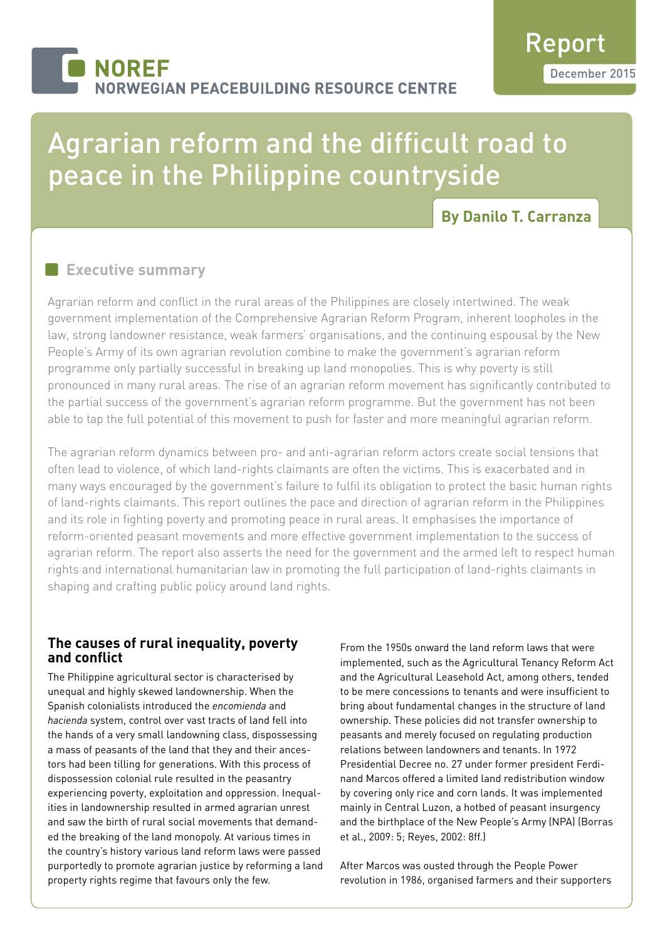# **NOREF RWEGIAN PEACEBUILDING RESOURCE CENTRE**

# Agrarian reform and the difficult road to peace in the Philippine countryside

# **By Danilo T. Carranza**

## **Executive summary**

Agrarian reform and conflict in the rural areas of the Philippines are closely intertwined. The weak government implementation of the Comprehensive Agrarian Reform Program, inherent loopholes in the law, strong landowner resistance, weak farmers' organisations, and the continuing espousal by the New People's Army of its own agrarian revolution combine to make the government's agrarian reform programme only partially successful in breaking up land monopolies. This is why poverty is still pronounced in many rural areas. The rise of an agrarian reform movement has significantly contributed to the partial success of the government's agrarian reform programme. But the government has not been able to tap the full potential of this movement to push for faster and more meaningful agrarian reform.

The agrarian reform dynamics between pro- and anti-agrarian reform actors create social tensions that often lead to violence, of which land-rights claimants are often the victims. This is exacerbated and in many ways encouraged by the government's failure to fulfil its obligation to protect the basic human rights of land-rights claimants. This report outlines the pace and direction of agrarian reform in the Philippines and its role in fighting poverty and promoting peace in rural areas. It emphasises the importance of reform-oriented peasant movements and more effective government implementation to the success of agrarian reform. The report also asserts the need for the government and the armed left to respect human rights and international humanitarian law in promoting the full participation of land-rights claimants in shaping and crafting public policy around land rights.

## **The causes of rural inequality, poverty and conflict**

The Philippine agricultural sector is characterised by unequal and highly skewed landownership. When the Spanish colonialists introduced the *encomienda* and *hacienda* system, control over vast tracts of land fell into the hands of a very small landowning class, dispossessing a mass of peasants of the land that they and their ancestors had been tilling for generations. With this process of dispossession colonial rule resulted in the peasantry experiencing poverty, exploitation and oppression. Inequalities in landownership resulted in armed agrarian unrest and saw the birth of rural social movements that demanded the breaking of the land monopoly. At various times in the country's history various land reform laws were passed purportedly to promote agrarian justice by reforming a land property rights regime that favours only the few.

From the 1950s onward the land reform laws that were implemented, such as the Agricultural Tenancy Reform Act and the Agricultural Leasehold Act, among others, tended to be mere concessions to tenants and were insufficient to bring about fundamental changes in the structure of land ownership. These policies did not transfer ownership to peasants and merely focused on regulating production relations between landowners and tenants. In 1972 Presidential Decree no. 27 under former president Ferdinand Marcos offered a limited land redistribution window by covering only rice and corn lands. It was implemented mainly in Central Luzon, a hotbed of peasant insurgency and the birthplace of the New People's Army (NPA) (Borras et al., 2009: 5; Reyes, 2002: 8ff.)

After Marcos was ousted through the People Power revolution in 1986, organised farmers and their supporters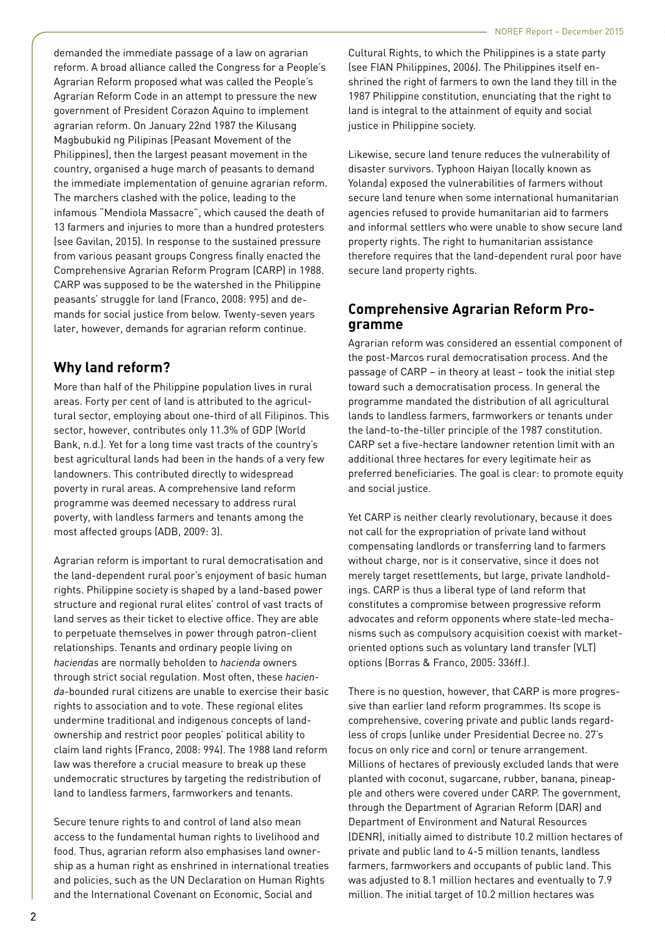demanded the immediate passage of a law on agrarian reform. A broad alliance called the Congress for a People's Agrarian Reform proposed what was called the People's Agrarian Reform Code in an attempt to pressure the new government of President Corazon Aquino to implement agrarian reform. On January 22nd 1987 the Kilusang Magbubukid ng Pilipinas (Peasant Movement of the Philippines), then the largest peasant movement in the country, organised a huge march of peasants to demand the immediate implementation of genuine agrarian reform. The marchers clashed with the police, leading to the infamous "Mendiola Massacre", which caused the death of 13 farmers and injuries to more than a hundred protesters (see Gavilan, 2015). In response to the sustained pressure from various peasant groups Congress finally enacted the Comprehensive Agrarian Reform Program (CARP) in 1988. CARP was supposed to be the watershed in the Philippine peasants' struggle for land (Franco, 2008: 995) and demands for social justice from below. Twenty-seven years later, however, demands for agrarian reform continue.

## **Why land reform?**

More than half of the Philippine population lives in rural areas. Forty per cent of land is attributed to the agricultural sector, employing about one-third of all Filipinos. This sector, however, contributes only 11.3% of GDP (World Bank, n.d.). Yet for a long time vast tracts of the country's best agricultural lands had been in the hands of a very few landowners. This contributed directly to widespread poverty in rural areas. A comprehensive land reform programme was deemed necessary to address rural poverty, with landless farmers and tenants among the most affected groups (ADB, 2009: 3).

Agrarian reform is important to rural democratisation and the land-dependent rural poor's enjoyment of basic human rights. Philippine society is shaped by a land-based power structure and regional rural elites' control of vast tracts of land serves as their ticket to elective office. They are able to perpetuate themselves in power through patron-client relationships. Tenants and ordinary people living on *haciendas* are normally beholden to *hacienda* owners through strict social regulation. Most often, these *hacienda*-bounded rural citizens are unable to exercise their basic rights to association and to vote. These regional elites undermine traditional and indigenous concepts of landownership and restrict poor peoples' political ability to claim land rights (Franco, 2008: 994). The 1988 land reform law was therefore a crucial measure to break up these undemocratic structures by targeting the redistribution of land to landless farmers, farmworkers and tenants.

Secure tenure rights to and control of land also mean access to the fundamental human rights to livelihood and food. Thus, agrarian reform also emphasises land ownership as a human right as enshrined in international treaties and policies, such as the UN Declaration on Human Rights and the International Covenant on Economic, Social and

Cultural Rights, to which the Philippines is a state party (see FIAN Philippines, 2006). The Philippines itself enshrined the right of farmers to own the land they till in the 1987 Philippine constitution, enunciating that the right to land is integral to the attainment of equity and social justice in Philippine society.

Likewise, secure land tenure reduces the vulnerability of disaster survivors. Typhoon Haiyan (locally known as Yolanda) exposed the vulnerabilities of farmers without secure land tenure when some international humanitarian agencies refused to provide humanitarian aid to farmers and informal settlers who were unable to show secure land property rights. The right to humanitarian assistance therefore requires that the land-dependent rural poor have secure land property rights.

## **Comprehensive Agrarian Reform Pro gramme**

Agrarian reform was considered an essential component of the post-Marcos rural democratisation process. And the passage of CARP – in theory at least – took the initial step toward such a democratisation process. In general the programme mandated the distribution of all agricultural lands to landless farmers, farmworkers or tenants under the land-to-the-tiller principle of the 1987 constitution. CARP set a five-hectare landowner retention limit with an additional three hectares for every legitimate heir as preferred beneficiaries. The goal is clear: to promote equity and social justice.

Yet CARP is neither clearly revolutionary, because it does not call for the expropriation of private land without compensating landlords or transferring land to farmers without charge, nor is it conservative, since it does not merely target resettlements, but large, private landholdings. CARP is thus a liberal type of land reform that constitutes a compromise between progressive reform advocates and reform opponents where state-led mechanisms such as compulsory acquisition coexist with marketoriented options such as voluntary land transfer (VLT) options (Borras & Franco, 2005: 336ff.).

There is no question, however, that CARP is more progressive than earlier land reform programmes. Its scope is comprehensive, covering private and public lands regardless of crops (unlike under Presidential Decree no. 27's focus on only rice and corn) or tenure arrangement. Millions of hectares of previously excluded lands that were planted with coconut, sugarcane, rubber, banana, pineapple and others were covered under CARP. The government, through the Department of Agrarian Reform (DAR) and Department of Environment and Natural Resources (DENR), initially aimed to distribute 10.2 million hectares of private and public land to 4-5 million tenants, landless farmers, farmworkers and occupants of public land. This was adjusted to 8.1 million hectares and eventually to 7.9 million. The initial target of 10.2 million hectares was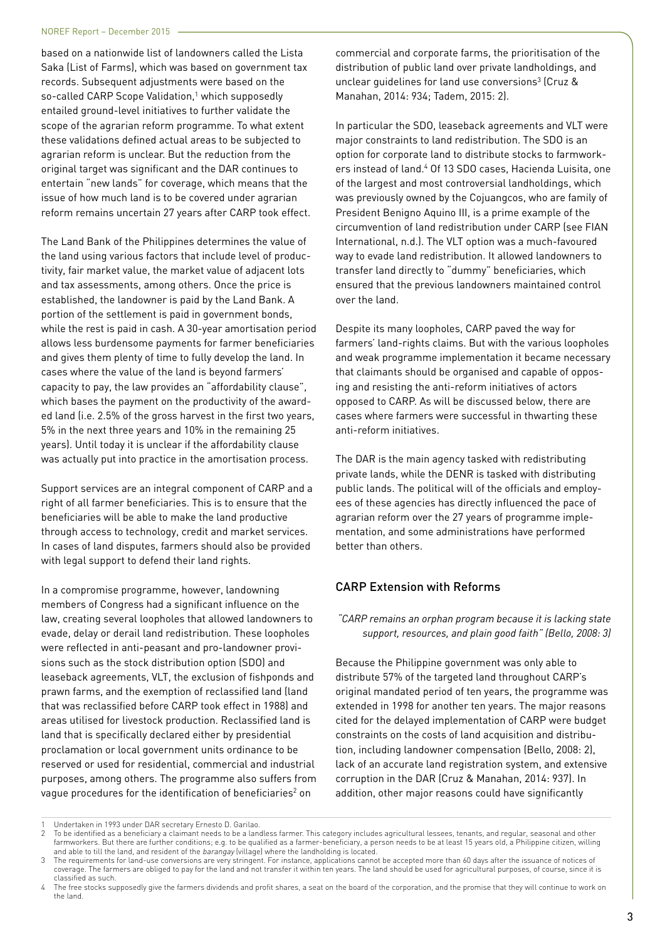based on a nationwide list of landowners called the Lista Saka (List of Farms), which was based on government tax records. Subsequent adjustments were based on the so-called CARP Scope Validation,<sup>1</sup> which supposedly entailed ground-level initiatives to further validate the scope of the agrarian reform programme. To what extent these validations defined actual areas to be subjected to agrarian reform is unclear. But the reduction from the original target was significant and the DAR continues to entertain "new lands" for coverage, which means that the issue of how much land is to be covered under agrarian reform remains uncertain 27 years after CARP took effect.

The Land Bank of the Philippines determines the value of the land using various factors that include level of productivity, fair market value, the market value of adjacent lots and tax assessments, among others. Once the price is established, the landowner is paid by the Land Bank. A portion of the settlement is paid in government bonds, while the rest is paid in cash. A 30-year amortisation period allows less burdensome payments for farmer beneficiaries and gives them plenty of time to fully develop the land. In cases where the value of the land is beyond farmers' capacity to pay, the law provides an "affordability clause", which bases the payment on the productivity of the awarded land (i.e. 2.5% of the gross harvest in the first two years, 5% in the next three years and 10% in the remaining 25 years). Until today it is unclear if the affordability clause was actually put into practice in the amortisation process.

Support services are an integral component of CARP and a right of all farmer beneficiaries. This is to ensure that the beneficiaries will be able to make the land productive through access to technology, credit and market services. In cases of land disputes, farmers should also be provided with legal support to defend their land rights.

In a compromise programme, however, landowning members of Congress had a significant influence on the law, creating several loopholes that allowed landowners to evade, delay or derail land redistribution. These loopholes were reflected in anti-peasant and pro-landowner provisions such as the stock distribution option (SDO) and leaseback agreements, VLT, the exclusion of fishponds and prawn farms, and the exemption of reclassified land (land that was reclassified before CARP took effect in 1988) and areas utilised for livestock production. Reclassified land is land that is specifically declared either by presidential proclamation or local government units ordinance to be reserved or used for residential, commercial and industrial purposes, among others. The programme also suffers from vague procedures for the identification of beneficiaries $^2$  on

commercial and corporate farms, the prioritisation of the distribution of public land over private landholdings, and unclear guidelines for land use conversions<sup>3</sup> (Cruz  $\&$ Manahan, 2014: 934; Tadem, 2015: 2).

In particular the SDO, leaseback agreements and VLT were major constraints to land redistribution. The SDO is an option for corporate land to distribute stocks to farmworkers instead of land.<sup>4</sup> Of 13 SDO cases, Hacienda Luisita, one of the largest and most controversial landholdings, which was previously owned by the Cojuangcos, who are family of President Benigno Aquino III, is a prime example of the circumvention of land redistribution under CARP (see FIAN International, n.d.). The VLT option was a much-favoured way to evade land redistribution. It allowed landowners to transfer land directly to "dummy" beneficiaries, which ensured that the previous landowners maintained control over the land.

Despite its many loopholes, CARP paved the way for farmers' land-rights claims. But with the various loopholes and weak programme implementation it became necessary that claimants should be organised and capable of opposing and resisting the anti-reform initiatives of actors opposed to CARP. As will be discussed below, there are cases where farmers were successful in thwarting these anti-reform initiatives.

The DAR is the main agency tasked with redistributing private lands, while the DENR is tasked with distributing public lands. The political will of the officials and employees of these agencies has directly influenced the pace of agrarian reform over the 27 years of programme implementation, and some administrations have performed better than others.

#### CARP Extension with Reforms

*"CARP remains an orphan program because it is lacking state support, resources, and plain good faith" (Bello, 2008: 3)*

Because the Philippine government was only able to distribute 57% of the targeted land throughout CARP's original mandated period of ten years, the programme was extended in 1998 for another ten years. The major reasons cited for the delayed implementation of CARP were budget constraints on the costs of land acquisition and distribution, including landowner compensation (Bello, 2008: 2), lack of an accurate land registration system, and extensive corruption in the DAR (Cruz & Manahan, 2014: 937). In addition, other major reasons could have significantly

<sup>1</sup> Undertaken in 1993 under DAR secretary Ernesto D. Garilao.

<sup>2</sup> To be identified as a beneficiary a claimant needs to be a landless farmer. This category includes agricultural lessees, tenants, and regular, seasonal and other farmworkers. But there are further conditions; e.g. to be qualified as a farmer-beneficiary, a person needs to be at least 15 years old, a Philippine citizen, willing and able to till the land, and resident of the barangay (village) where the landholding is located.

The requirements for land-use conversions are very stringent. For instance, applications cannot be accepted more than 60 days after the issuance of notices of coverage. The farmers are obliged to pay for the land and not transfer it within ten years. The land should be used for agricultural purposes, of course, since it is classified as such.

The free stocks supposedly give the farmers dividends and profit shares, a seat on the board of the corporation, and the promise that they will continue to work on the land.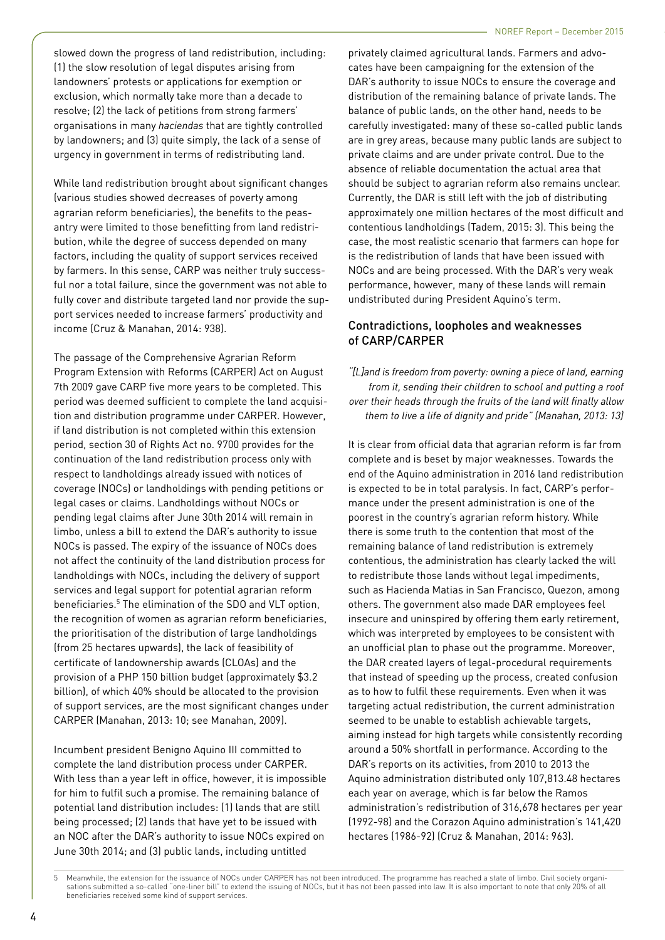slowed down the progress of land redistribution, including: (1) the slow resolution of legal disputes arising from landowners' protests or applications for exemption or exclusion, which normally take more than a decade to resolve; (2) the lack of petitions from strong farmers' organisations in many *haciendas* that are tightly controlled by landowners; and (3) quite simply, the lack of a sense of urgency in government in terms of redistributing land.

While land redistribution brought about significant changes (various studies showed decreases of poverty among agrarian reform beneficiaries), the benefits to the peasantry were limited to those benefitting from land redistribution, while the degree of success depended on many factors, including the quality of support services received by farmers. In this sense, CARP was neither truly successful nor a total failure, since the government was not able to fully cover and distribute targeted land nor provide the support services needed to increase farmers' productivity and income (Cruz & Manahan, 2014: 938).

The passage of the Comprehensive Agrarian Reform Program Extension with Reforms (CARPER) Act on August 7th 2009 gave CARP five more years to be completed. This period was deemed sufficient to complete the land acquisition and distribution programme under CARPER. However, if land distribution is not completed within this extension period, section 30 of Rights Act no. 9700 provides for the continuation of the land redistribution process only with respect to landholdings already issued with notices of coverage (NOCs) or landholdings with pending petitions or legal cases or claims. Landholdings without NOCs or pending legal claims after June 30th 2014 will remain in limbo, unless a bill to extend the DAR's authority to issue NOCs is passed. The expiry of the issuance of NOCs does not affect the continuity of the land distribution process for landholdings with NOCs, including the delivery of support services and legal support for potential agrarian reform beneficiaries.5 The elimination of the SDO and VLT option, the recognition of women as agrarian reform beneficiaries, the prioritisation of the distribution of large landholdings (from 25 hectares upwards), the lack of feasibility of certificate of landownership awards (CLOAs) and the provision of a PHP 150 billion budget (approximately \$3.2 billion), of which 40% should be allocated to the provision of support services, are the most significant changes under CARPER (Manahan, 2013: 10; see Manahan, 2009).

Incumbent president Benigno Aquino III committed to complete the land distribution process under CARPER. With less than a year left in office, however, it is impossible for him to fulfil such a promise. The remaining balance of potential land distribution includes: (1) lands that are still being processed; (2) lands that have yet to be issued with an NOC after the DAR's authority to issue NOCs expired on June 30th 2014; and (3) public lands, including untitled

privately claimed agricultural lands. Farmers and advocates have been campaigning for the extension of the DAR's authority to issue NOCs to ensure the coverage and distribution of the remaining balance of private lands. The balance of public lands, on the other hand, needs to be carefully investigated: many of these so-called public lands are in grey areas, because many public lands are subject to private claims and are under private control. Due to the absence of reliable documentation the actual area that should be subject to agrarian reform also remains unclear. Currently, the DAR is still left with the job of distributing approximately one million hectares of the most difficult and contentious landholdings (Tadem, 2015: 3). This being the case, the most realistic scenario that farmers can hope for is the redistribution of lands that have been issued with NOCs and are being processed. With the DAR's very weak performance, however, many of these lands will remain undistributed during President Aquino's term.

#### Contradictions, loopholes and weaknesses of CARP/CARPER

*"[L]and is freedom from poverty: owning a piece of land, earning from it, sending their children to school and putting a roof over their heads through the fruits of the land will finally allow them to live a life of dignity and pride" (Manahan, 2013: 13)*

It is clear from official data that agrarian reform is far from complete and is beset by major weaknesses. Towards the end of the Aquino administration in 2016 land redistribution is expected to be in total paralysis. In fact, CARP's performance under the present administration is one of the poorest in the country's agrarian reform history. While there is some truth to the contention that most of the remaining balance of land redistribution is extremely contentious, the administration has clearly lacked the will to redistribute those lands without legal impediments, such as Hacienda Matias in San Francisco, Quezon, among others. The government also made DAR employees feel insecure and uninspired by offering them early retirement, which was interpreted by employees to be consistent with an unofficial plan to phase out the programme. Moreover, the DAR created layers of legal-procedural requirements that instead of speeding up the process, created confusion as to how to fulfil these requirements. Even when it was targeting actual redistribution, the current administration seemed to be unable to establish achievable targets, aiming instead for high targets while consistently recording around a 50% shortfall in performance. According to the DAR's reports on its activities, from 2010 to 2013 the Aquino administration distributed only 107,813.48 hectares each year on average, which is far below the Ramos administration's redistribution of 316,678 hectares per year (1992-98) and the Corazon Aquino administration's 141,420 hectares (1986-92) (Cruz & Manahan, 2014: 963).

<sup>5</sup> Meanwhile, the extension for the issuance of NOCs under CARPER has not been introduced. The programme has reached a state of limbo. Civil society organisations submitted a so-called "one-liner bill" to extend the issuing of NOCs, but it has not been passed into law. It is also important to note that only 20% of all beneficiaries received some kind of support services.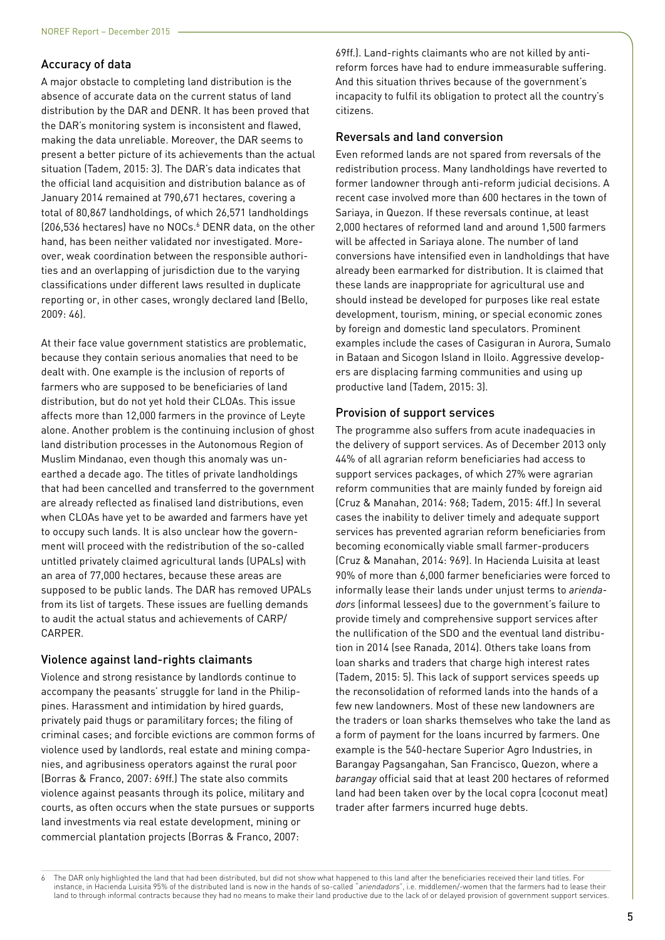#### Accuracy of data

A major obstacle to completing land distribution is the absence of accurate data on the current status of land distribution by the DAR and DENR. It has been proved that the DAR's monitoring system is inconsistent and flawed, making the data unreliable. Moreover, the DAR seems to present a better picture of its achievements than the actual situation (Tadem, 2015: 3). The DAR's data indicates that the official land acquisition and distribution balance as of January 2014 remained at 790,671 hectares, covering a total of 80,867 landholdings, of which 26,571 landholdings (206,536 hectares) have no NOCs.<sup>6</sup> DENR data, on the other hand, has been neither validated nor investigated. Moreover, weak coordination between the responsible authorities and an overlapping of jurisdiction due to the varying classifications under different laws resulted in duplicate reporting or, in other cases, wrongly declared land (Bello, 2009: 46).

At their face value government statistics are problematic, because they contain serious anomalies that need to be dealt with. One example is the inclusion of reports of farmers who are supposed to be beneficiaries of land distribution, but do not yet hold their CLOAs. This issue affects more than 12,000 farmers in the province of Leyte alone. Another problem is the continuing inclusion of ghost land distribution processes in the Autonomous Region of Muslim Mindanao, even though this anomaly was unearthed a decade ago. The titles of private landholdings that had been cancelled and transferred to the government are already reflected as finalised land distributions, even when CLOAs have yet to be awarded and farmers have yet to occupy such lands. It is also unclear how the government will proceed with the redistribution of the so-called untitled privately claimed agricultural lands (UPALs) with an area of 77,000 hectares, because these areas are supposed to be public lands. The DAR has removed UPALs from its list of targets. These issues are fuelling demands to audit the actual status and achievements of CARP/ CARPER.

#### Violence against land-rights claimants

Violence and strong resistance by landlords continue to accompany the peasants' struggle for land in the Philippines. Harassment and intimidation by hired guards, privately paid thugs or paramilitary forces; the filing of criminal cases; and forcible evictions are common forms of violence used by landlords, real estate and mining companies, and agribusiness operators against the rural poor (Borras & Franco, 2007: 69ff.) The state also commits violence against peasants through its police, military and courts, as often occurs when the state pursues or supports land investments via real estate development, mining or commercial plantation projects (Borras & Franco, 2007:

69ff.). Land-rights claimants who are not killed by antireform forces have had to endure immeasurable suffering. And this situation thrives because of the government's incapacity to fulfil its obligation to protect all the country's citizens.

#### Reversals and land conversion

Even reformed lands are not spared from reversals of the redistribution process. Many landholdings have reverted to former landowner through anti-reform judicial decisions. A recent case involved more than 600 hectares in the town of Sariaya, in Quezon. If these reversals continue, at least 2,000 hectares of reformed land and around 1,500 farmers will be affected in Sariaya alone. The number of land conversions have intensified even in landholdings that have already been earmarked for distribution. It is claimed that these lands are inappropriate for agricultural use and should instead be developed for purposes like real estate development, tourism, mining, or special economic zones by foreign and domestic land speculators. Prominent examples include the cases of Casiguran in Aurora, Sumalo in Bataan and Sicogon Island in Iloilo. Aggressive developers are displacing farming communities and using up productive land (Tadem, 2015: 3).

#### Provision of support services

The programme also suffers from acute inadequacies in the delivery of support services. As of December 2013 only 44% of all agrarian reform beneficiaries had access to support services packages, of which 27% were agrarian reform communities that are mainly funded by foreign aid (Cruz & Manahan, 2014: 968; Tadem, 2015: 4ff.) In several cases the inability to deliver timely and adequate support services has prevented agrarian reform beneficiaries from becoming economically viable small farmer-producers (Cruz & Manahan, 2014: 969). In Hacienda Luisita at least 90% of more than 6,000 farmer beneficiaries were forced to informally lease their lands under unjust terms to *ariendadors* (informal lessees) due to the government's failure to provide timely and comprehensive support services after the nullification of the SDO and the eventual land distribution in 2014 (see Ranada, 2014). Others take loans from loan sharks and traders that charge high interest rates (Tadem, 2015: 5). This lack of support services speeds up the reconsolidation of reformed lands into the hands of a few new landowners. Most of these new landowners are the traders or loan sharks themselves who take the land as a form of payment for the loans incurred by farmers. One example is the 540-hectare Superior Agro Industries, in Barangay Pagsangahan, San Francisco, Quezon, where a *barangay* official said that at least 200 hectares of reformed land had been taken over by the local copra (coconut meat) trader after farmers incurred huge debts.

6 The DAR only highlighted the land that had been distributed, but did not show what happened to this land after the beneficiaries received their land titles. For instance, in Hacienda Luisita 95% of the distributed land is now in the hands of so-called "ariendadors", i.e. middlemen/-women that the farmers had to lease their land to through informal contracts because they had no means to make their land productive due to the lack of or delayed provision of government support services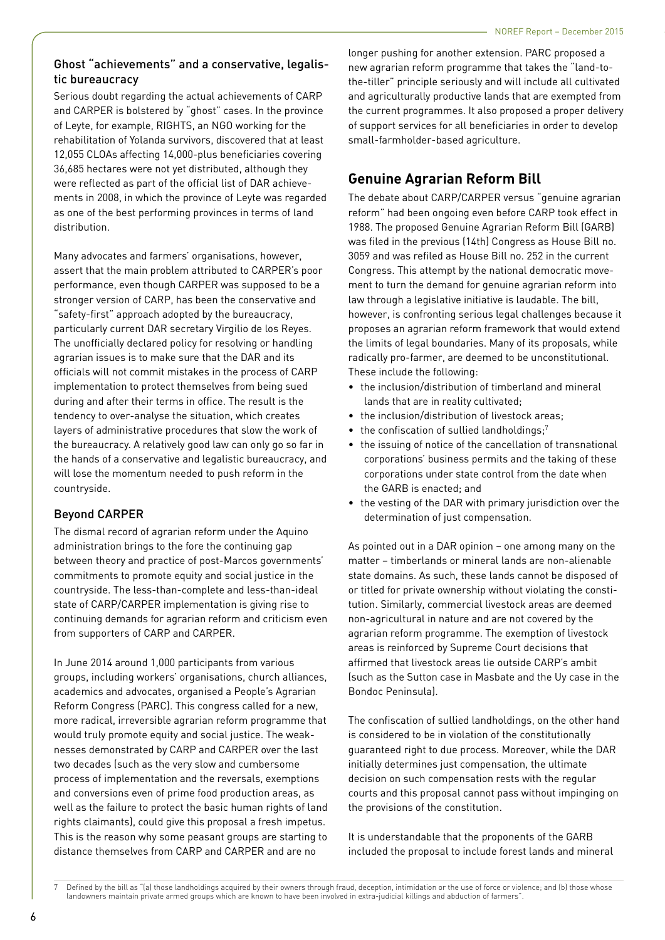### Ghost "achievements" and a conservative, legalistic bureaucracy

Serious doubt regarding the actual achievements of CARP and CARPER is bolstered by "ghost" cases. In the province of Leyte, for example, RIGHTS, an NGO working for the rehabilitation of Yolanda survivors, discovered that at least 12,055 CLOAs affecting 14,000-plus beneficiaries covering 36,685 hectares were not yet distributed, although they were reflected as part of the official list of DAR achievements in 2008, in which the province of Leyte was regarded as one of the best performing provinces in terms of land distribution.

Many advocates and farmers' organisations, however, assert that the main problem attributed to CARPER's poor performance, even though CARPER was supposed to be a stronger version of CARP, has been the conservative and "safety-first" approach adopted by the bureaucracy, particularly current DAR secretary Virgilio de los Reyes. The unofficially declared policy for resolving or handling agrarian issues is to make sure that the DAR and its officials will not commit mistakes in the process of CARP implementation to protect themselves from being sued during and after their terms in office. The result is the tendency to over-analyse the situation, which creates layers of administrative procedures that slow the work of the bureaucracy. A relatively good law can only go so far in the hands of a conservative and legalistic bureaucracy, and will lose the momentum needed to push reform in the countryside.

## Beyond CARPER

The dismal record of agrarian reform under the Aquino administration brings to the fore the continuing gap between theory and practice of post-Marcos governments' commitments to promote equity and social justice in the countryside. The less-than-complete and less-than-ideal state of CARP/CARPER implementation is giving rise to continuing demands for agrarian reform and criticism even from supporters of CARP and CARPER.

In June 2014 around 1,000 participants from various groups, including workers' organisations, church alliances, academics and advocates, organised a People's Agrarian Reform Congress (PARC). This congress called for a new, more radical, irreversible agrarian reform programme that would truly promote equity and social justice. The weaknesses demonstrated by CARP and CARPER over the last two decades (such as the very slow and cumbersome process of implementation and the reversals, exemptions and conversions even of prime food production areas, as well as the failure to protect the basic human rights of land rights claimants), could give this proposal a fresh impetus. This is the reason why some peasant groups are starting to distance themselves from CARP and CARPER and are no

longer pushing for another extension. PARC proposed a new agrarian reform programme that takes the "land-tothe-tiller" principle seriously and will include all cultivated and agriculturally productive lands that are exempted from the current programmes. It also proposed a proper delivery of support services for all beneficiaries in order to develop small-farmholder-based agriculture.

# **Genuine Agrarian Reform Bill**

The debate about CARP/CARPER versus "genuine agrarian reform" had been ongoing even before CARP took effect in 1988. The proposed Genuine Agrarian Reform Bill (GARB) was filed in the previous (14th) Congress as House Bill no. 3059 and was refiled as House Bill no. 252 in the current Congress. This attempt by the national democratic movement to turn the demand for genuine agrarian reform into law through a legislative initiative is laudable. The bill, however, is confronting serious legal challenges because it proposes an agrarian reform framework that would extend the limits of legal boundaries. Many of its proposals, while radically pro-farmer, are deemed to be unconstitutional. These include the following:

- the inclusion/distribution of timberland and mineral lands that are in reality cultivated;
- the inclusion/distribution of livestock areas;
- $\bullet$  the confiscation of sullied landholdings;<sup>7</sup>
- the issuing of notice of the cancellation of transnational corporations' business permits and the taking of these corporations under state control from the date when the GARB is enacted; and
- the vesting of the DAR with primary jurisdiction over the determination of just compensation.

As pointed out in a DAR opinion – one among many on the matter – timberlands or mineral lands are non-alienable state domains. As such, these lands cannot be disposed of or titled for private ownership without violating the constitution. Similarly, commercial livestock areas are deemed non-agricultural in nature and are not covered by the agrarian reform programme. The exemption of livestock areas is reinforced by Supreme Court decisions that affirmed that livestock areas lie outside CARP's ambit (such as the Sutton case in Masbate and the Uy case in the Bondoc Peninsula).

The confiscation of sullied landholdings, on the other hand is considered to be in violation of the constitutionally guaranteed right to due process. Moreover, while the DAR initially determines just compensation, the ultimate decision on such compensation rests with the regular courts and this proposal cannot pass without impinging on the provisions of the constitution.

It is understandable that the proponents of the GARB included the proposal to include forest lands and mineral

Defined by the bill as "(a) those landholdings acquired by their owners through fraud, deception, intimidation or the use of force or violence; and (b) those whose landowners maintain private armed groups which are known to have been involved in extra-judicial killings and abduction of farmers".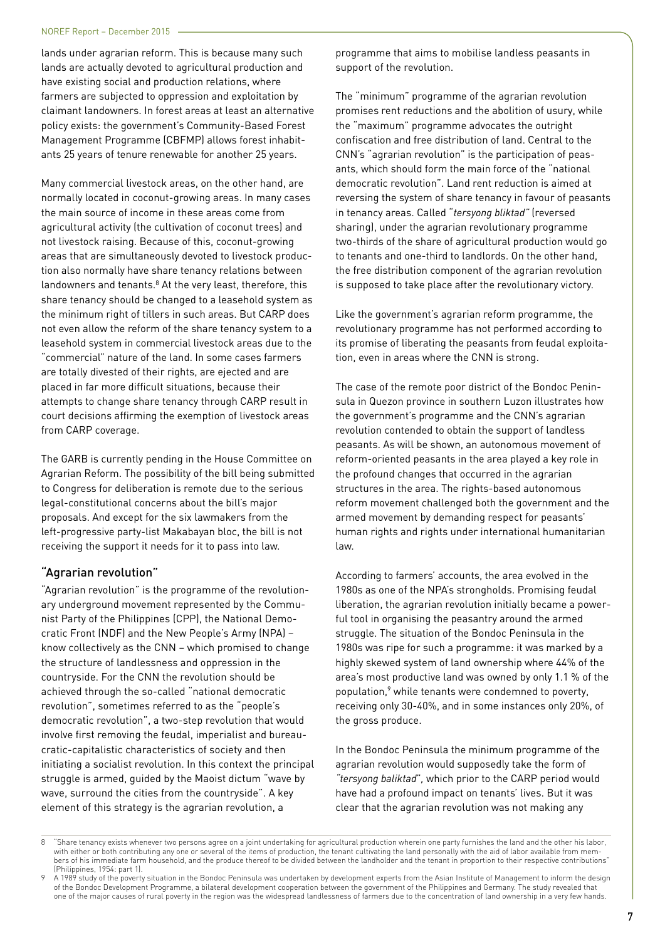lands under agrarian reform. This is because many such lands are actually devoted to agricultural production and have existing social and production relations, where farmers are subjected to oppression and exploitation by claimant landowners. In forest areas at least an alternative policy exists: the government's Community-Based Forest Management Programme (CBFMP) allows forest inhabitants 25 years of tenure renewable for another 25 years.

Many commercial livestock areas, on the other hand, are normally located in coconut-growing areas. In many cases the main source of income in these areas come from agricultural activity (the cultivation of coconut trees) and not livestock raising. Because of this, coconut-growing areas that are simultaneously devoted to livestock production also normally have share tenancy relations between landowners and tenants. $8$  At the very least, therefore, this share tenancy should be changed to a leasehold system as the minimum right of tillers in such areas. But CARP does not even allow the reform of the share tenancy system to a leasehold system in commercial livestock areas due to the "commercial" nature of the land. In some cases farmers are totally divested of their rights, are ejected and are placed in far more difficult situations, because their attempts to change share tenancy through CARP result in court decisions affirming the exemption of livestock areas from CARP coverage.

The GARB is currently pending in the House Committee on Agrarian Reform. The possibility of the bill being submitted to Congress for deliberation is remote due to the serious legal-constitutional concerns about the bill's major proposals. And except for the six lawmakers from the left-progressive party-list Makabayan bloc, the bill is not receiving the support it needs for it to pass into law.

#### "Agrarian revolution"

"Agrarian revolution" is the programme of the revolutionary underground movement represented by the Communist Party of the Philippines (CPP), the National Democratic Front (NDF) and the New People's Army (NPA) – know collectively as the CNN – which promised to change the structure of landlessness and oppression in the countryside. For the CNN the revolution should be achieved through the so-called "national democratic revolution", sometimes referred to as the "people's democratic revolution", a two-step revolution that would involve first removing the feudal, imperialist and bureaucratic-capitalistic characteristics of society and then initiating a socialist revolution. In this context the principal struggle is armed, guided by the Maoist dictum "wave by wave, surround the cities from the countryside". A key element of this strategy is the agrarian revolution, a

programme that aims to mobilise landless peasants in support of the revolution.

The "minimum" programme of the agrarian revolution promises rent reductions and the abolition of usury, while the "maximum" programme advocates the outright confiscation and free distribution of land. Central to the CNN's "agrarian revolution" is the participation of peasants, which should form the main force of the "national democratic revolution". Land rent reduction is aimed at reversing the system of share tenancy in favour of peasants in tenancy areas. Called "*tersyong bliktad"* (reversed sharing), under the agrarian revolutionary programme two-thirds of the share of agricultural production would go to tenants and one-third to landlords. On the other hand, the free distribution component of the agrarian revolution is supposed to take place after the revolutionary victory.

Like the government's agrarian reform programme, the revolutionary programme has not performed according to its promise of liberating the peasants from feudal exploitation, even in areas where the CNN is strong.

The case of the remote poor district of the Bondoc Peninsula in Quezon province in southern Luzon illustrates how the government's programme and the CNN's agrarian revolution contended to obtain the support of landless peasants. As will be shown, an autonomous movement of reform-oriented peasants in the area played a key role in the profound changes that occurred in the agrarian structures in the area. The rights-based autonomous reform movement challenged both the government and the armed movement by demanding respect for peasants' human rights and rights under international humanitarian law.

According to farmers' accounts, the area evolved in the 1980s as one of the NPA's strongholds. Promising feudal liberation, the agrarian revolution initially became a powerful tool in organising the peasantry around the armed struggle. The situation of the Bondoc Peninsula in the 1980s was ripe for such a programme: it was marked by a highly skewed system of land ownership where 44% of the area's most productive land was owned by only 1.1 % of the population,<sup>9</sup> while tenants were condemned to poverty, receiving only 30-40%, and in some instances only 20%, of the gross produce.

In the Bondoc Peninsula the minimum programme of the agrarian revolution would supposedly take the form of *"tersyong baliktad*"*,* which prior to the CARP period would have had a profound impact on tenants' lives. But it was clear that the agrarian revolution was not making any

<sup>&</sup>quot;Share tenancy exists whenever two persons agree on a joint undertaking for agricultural production wherein one party furnishes the land and the other his labor, with either or both contributing any one or several of the items of production, the tenant cultivating the land personally with the aid of labor available from members of his immediate farm household, and the produce thereof to be divided between the landholder and the tenant in proportion to their respective contributions" (Philippines, 1954: part 1).

<sup>9</sup> A 1989 study of the poverty situation in the Bondoc Peninsula was undertaken by development experts from the Asian Institute of Management to inform the design of the Bondoc Development Programme, a bilateral development cooperation between the government of the Philippines and Germany. The study revealed that one of the major causes of rural poverty in the region was the widespread landlessness of farmers due to the concentration of land ownership in a very few hands.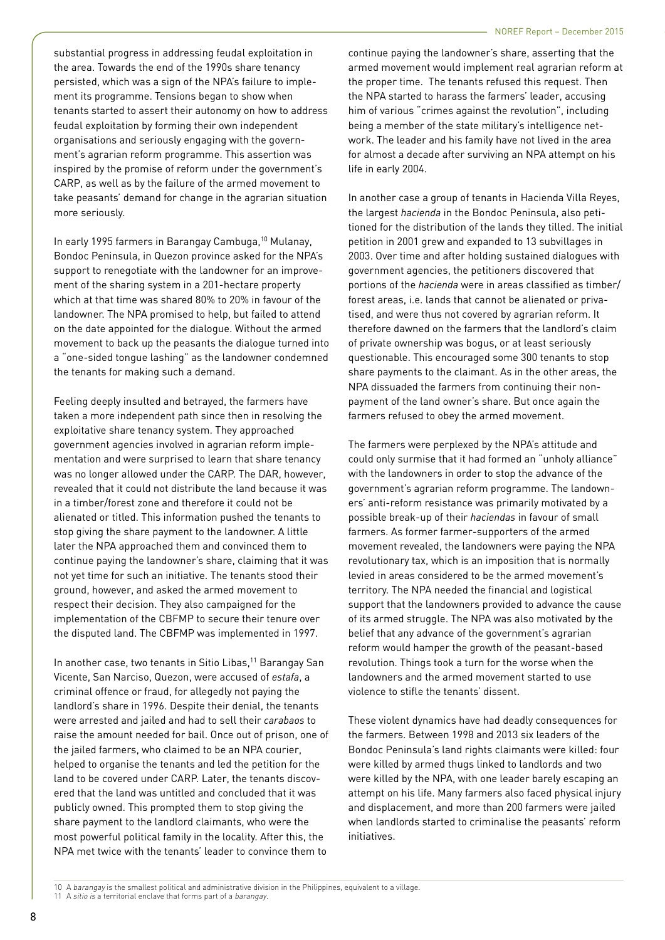substantial progress in addressing feudal exploitation in the area. Towards the end of the 1990s share tenancy persisted, which was a sign of the NPA's failure to implement its programme. Tensions began to show when tenants started to assert their autonomy on how to address feudal exploitation by forming their own independent organisations and seriously engaging with the government's agrarian reform programme. This assertion was inspired by the promise of reform under the government's CARP, as well as by the failure of the armed movement to take peasants' demand for change in the agrarian situation more seriously.

In early 1995 farmers in Barangay Cambuga,10 Mulanay, Bondoc Peninsula, in Quezon province asked for the NPA's support to renegotiate with the landowner for an improvement of the sharing system in a 201-hectare property which at that time was shared 80% to 20% in favour of the landowner. The NPA promised to help, but failed to attend on the date appointed for the dialogue. Without the armed movement to back up the peasants the dialogue turned into a "one-sided tongue lashing" as the landowner condemned the tenants for making such a demand.

Feeling deeply insulted and betrayed, the farmers have taken a more independent path since then in resolving the exploitative share tenancy system. They approached government agencies involved in agrarian reform implementation and were surprised to learn that share tenancy was no longer allowed under the CARP. The DAR, however, revealed that it could not distribute the land because it was in a timber/forest zone and therefore it could not be alienated or titled. This information pushed the tenants to stop giving the share payment to the landowner. A little later the NPA approached them and convinced them to continue paying the landowner's share, claiming that it was not yet time for such an initiative. The tenants stood their ground, however, and asked the armed movement to respect their decision. They also campaigned for the implementation of the CBFMP to secure their tenure over the disputed land. The CBFMP was implemented in 1997.

In another case, two tenants in Sitio Libas,<sup>11</sup> Barangay San Vicente, San Narciso, Quezon, were accused of *estafa*, a criminal offence or fraud, for allegedly not paying the landlord's share in 1996. Despite their denial, the tenants were arrested and jailed and had to sell their *carabaos* to raise the amount needed for bail. Once out of prison, one of the jailed farmers, who claimed to be an NPA courier, helped to organise the tenants and led the petition for the land to be covered under CARP. Later, the tenants discovered that the land was untitled and concluded that it was publicly owned. This prompted them to stop giving the share payment to the landlord claimants, who were the most powerful political family in the locality. After this, the NPA met twice with the tenants' leader to convince them to

continue paying the landowner's share, asserting that the armed movement would implement real agrarian reform at the proper time. The tenants refused this request. Then the NPA started to harass the farmers' leader, accusing him of various "crimes against the revolution", including being a member of the state military's intelligence network. The leader and his family have not lived in the area for almost a decade after surviving an NPA attempt on his life in early 2004.

In another case a group of tenants in Hacienda Villa Reyes, the largest *hacienda* in the Bondoc Peninsula, also petitioned for the distribution of the lands they tilled. The initial petition in 2001 grew and expanded to 13 subvillages in 2003. Over time and after holding sustained dialogues with government agencies, the petitioners discovered that portions of the *hacienda* were in areas classified as timber/ forest areas, i.e. lands that cannot be alienated or privatised, and were thus not covered by agrarian reform. It therefore dawned on the farmers that the landlord's claim of private ownership was bogus, or at least seriously questionable. This encouraged some 300 tenants to stop share payments to the claimant. As in the other areas, the NPA dissuaded the farmers from continuing their nonpayment of the land owner's share. But once again the farmers refused to obey the armed movement.

The farmers were perplexed by the NPA's attitude and could only surmise that it had formed an "unholy alliance" with the landowners in order to stop the advance of the government's agrarian reform programme. The landowners' anti-reform resistance was primarily motivated by a possible break-up of their *haciendas* in favour of small farmers. As former farmer-supporters of the armed movement revealed, the landowners were paying the NPA revolutionary tax, which is an imposition that is normally levied in areas considered to be the armed movement's territory. The NPA needed the financial and logistical support that the landowners provided to advance the cause of its armed struggle. The NPA was also motivated by the belief that any advance of the government's agrarian reform would hamper the growth of the peasant-based revolution. Things took a turn for the worse when the landowners and the armed movement started to use violence to stifle the tenants' dissent.

These violent dynamics have had deadly consequences for the farmers. Between 1998 and 2013 six leaders of the Bondoc Peninsula's land rights claimants were killed: four were killed by armed thugs linked to landlords and two were killed by the NPA, with one leader barely escaping an attempt on his life. Many farmers also faced physical injury and displacement, and more than 200 farmers were jailed when landlords started to criminalise the peasants' reform initiatives.

11 A sitio is a territorial enclave that forms part of a barangay.

<sup>10</sup> A barangay is the smallest political and administrative division in the Philippines, equivalent to a village.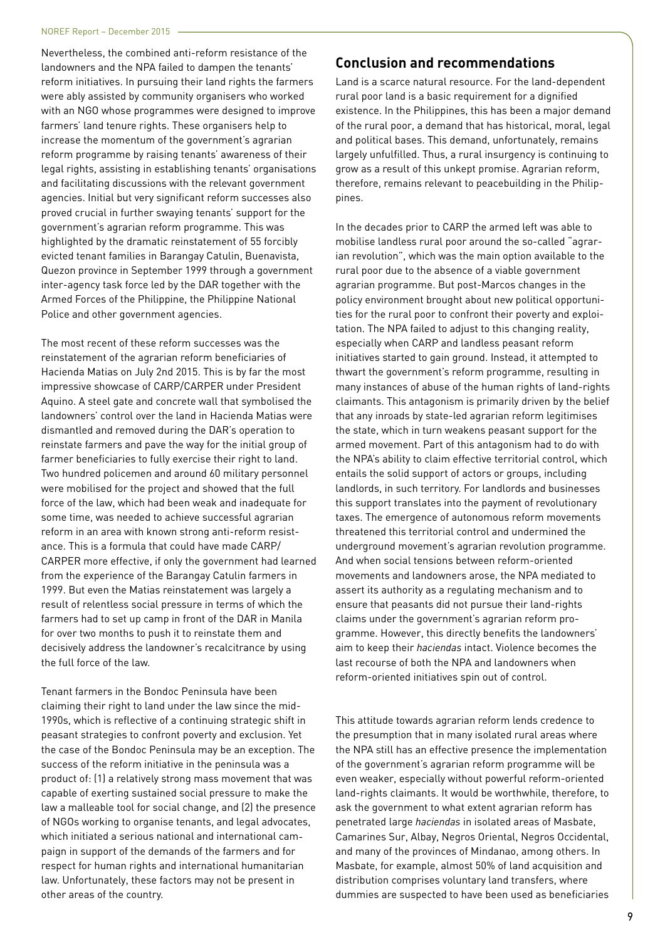Nevertheless, the combined anti-reform resistance of the landowners and the NPA failed to dampen the tenants' reform initiatives. In pursuing their land rights the farmers were ably assisted by community organisers who worked with an NGO whose programmes were designed to improve farmers' land tenure rights. These organisers help to increase the momentum of the government's agrarian reform programme by raising tenants' awareness of their legal rights, assisting in establishing tenants' organisations and facilitating discussions with the relevant government agencies. Initial but very significant reform successes also proved crucial in further swaying tenants' support for the government's agrarian reform programme. This was highlighted by the dramatic reinstatement of 55 forcibly evicted tenant families in Barangay Catulin, Buenavista, Quezon province in September 1999 through a government inter-agency task force led by the DAR together with the Armed Forces of the Philippine, the Philippine National Police and other government agencies.

The most recent of these reform successes was the reinstatement of the agrarian reform beneficiaries of Hacienda Matias on July 2nd 2015. This is by far the most impressive showcase of CARP/CARPER under President Aquino. A steel gate and concrete wall that symbolised the landowners' control over the land in Hacienda Matias were dismantled and removed during the DAR's operation to reinstate farmers and pave the way for the initial group of farmer beneficiaries to fully exercise their right to land. Two hundred policemen and around 60 military personnel were mobilised for the project and showed that the full force of the law, which had been weak and inadequate for some time, was needed to achieve successful agrarian reform in an area with known strong anti-reform resistance. This is a formula that could have made CARP/ CARPER more effective, if only the government had learned from the experience of the Barangay Catulin farmers in 1999. But even the Matias reinstatement was largely a result of relentless social pressure in terms of which the farmers had to set up camp in front of the DAR in Manila for over two months to push it to reinstate them and decisively address the landowner's recalcitrance by using the full force of the law.

Tenant farmers in the Bondoc Peninsula have been claiming their right to land under the law since the mid-1990s, which is reflective of a continuing strategic shift in peasant strategies to confront poverty and exclusion. Yet the case of the Bondoc Peninsula may be an exception. The success of the reform initiative in the peninsula was a product of: (1) a relatively strong mass movement that was capable of exerting sustained social pressure to make the law a malleable tool for social change, and (2) the presence of NGOs working to organise tenants, and legal advocates, which initiated a serious national and international campaign in support of the demands of the farmers and for respect for human rights and international humanitarian law. Unfortunately, these factors may not be present in other areas of the country.

### **Conclusion and recommendations**

Land is a scarce natural resource. For the land-dependent rural poor land is a basic requirement for a dignified existence. In the Philippines, this has been a major demand of the rural poor, a demand that has historical, moral, legal and political bases. This demand, unfortunately, remains largely unfulfilled. Thus, a rural insurgency is continuing to grow as a result of this unkept promise. Agrarian reform, therefore, remains relevant to peacebuilding in the Philippines.

In the decades prior to CARP the armed left was able to mobilise landless rural poor around the so-called "agrarian revolution", which was the main option available to the rural poor due to the absence of a viable government agrarian programme. But post-Marcos changes in the policy environment brought about new political opportunities for the rural poor to confront their poverty and exploitation. The NPA failed to adjust to this changing reality, especially when CARP and landless peasant reform initiatives started to gain ground. Instead, it attempted to thwart the government's reform programme, resulting in many instances of abuse of the human rights of land-rights claimants. This antagonism is primarily driven by the belief that any inroads by state-led agrarian reform legitimises the state, which in turn weakens peasant support for the armed movement. Part of this antagonism had to do with the NPA's ability to claim effective territorial control, which entails the solid support of actors or groups, including landlords, in such territory. For landlords and businesses this support translates into the payment of revolutionary taxes. The emergence of autonomous reform movements threatened this territorial control and undermined the underground movement's agrarian revolution programme. And when social tensions between reform-oriented movements and landowners arose, the NPA mediated to assert its authority as a regulating mechanism and to ensure that peasants did not pursue their land-rights claims under the government's agrarian reform programme. However, this directly benefits the landowners' aim to keep their *haciendas* intact. Violence becomes the last recourse of both the NPA and landowners when reform-oriented initiatives spin out of control.

This attitude towards agrarian reform lends credence to the presumption that in many isolated rural areas where the NPA still has an effective presence the implementation of the government's agrarian reform programme will be even weaker, especially without powerful reform-oriented land-rights claimants. It would be worthwhile, therefore, to ask the government to what extent agrarian reform has penetrated large *haciendas* in isolated areas of Masbate, Camarines Sur, Albay, Negros Oriental, Negros Occidental, and many of the provinces of Mindanao, among others. In Masbate, for example, almost 50% of land acquisition and distribution comprises voluntary land transfers, where dummies are suspected to have been used as beneficiaries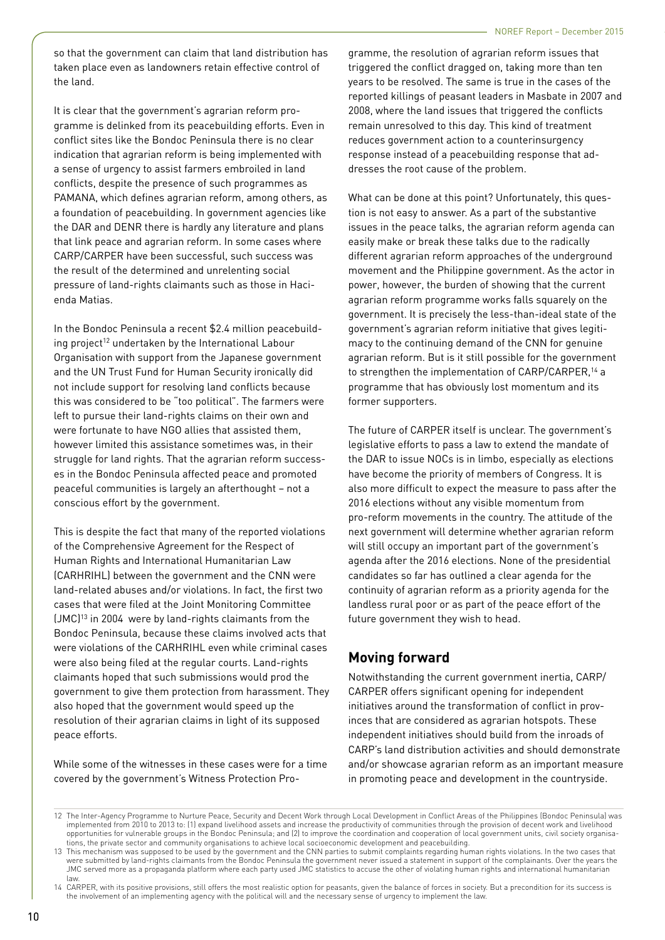so that the government can claim that land distribution has taken place even as landowners retain effective control of the land.

It is clear that the government's agrarian reform programme is delinked from its peacebuilding efforts. Even in conflict sites like the Bondoc Peninsula there is no clear indication that agrarian reform is being implemented with a sense of urgency to assist farmers embroiled in land conflicts, despite the presence of such programmes as PAMANA, which defines agrarian reform, among others, as a foundation of peacebuilding. In government agencies like the DAR and DENR there is hardly any literature and plans that link peace and agrarian reform. In some cases where CARP/CARPER have been successful, such success was the result of the determined and unrelenting social pressure of land-rights claimants such as those in Hacienda Matias.

In the Bondoc Peninsula a recent \$2.4 million peacebuilding project<sup>12</sup> undertaken by the International Labour Organisation with support from the Japanese government and the UN Trust Fund for Human Security ironically did not include support for resolving land conflicts because this was considered to be "too political". The farmers were left to pursue their land-rights claims on their own and were fortunate to have NGO allies that assisted them, however limited this assistance sometimes was, in their struggle for land rights. That the agrarian reform successes in the Bondoc Peninsula affected peace and promoted peaceful communities is largely an afterthought – not a conscious effort by the government.

This is despite the fact that many of the reported violations of the Comprehensive Agreement for the Respect of Human Rights and International Humanitarian Law (CARHRIHL) between the government and the CNN were land-related abuses and/or violations. In fact, the first two cases that were filed at the Joint Monitoring Committee (JMC)13 in 2004 were by land-rights claimants from the Bondoc Peninsula, because these claims involved acts that were violations of the CARHRIHL even while criminal cases were also being filed at the regular courts. Land-rights claimants hoped that such submissions would prod the government to give them protection from harassment. They also hoped that the government would speed up the resolution of their agrarian claims in light of its supposed peace efforts.

While some of the witnesses in these cases were for a time covered by the government's Witness Protection Programme, the resolution of agrarian reform issues that triggered the conflict dragged on, taking more than ten years to be resolved. The same is true in the cases of the reported killings of peasant leaders in Masbate in 2007 and 2008, where the land issues that triggered the conflicts remain unresolved to this day. This kind of treatment reduces government action to a counterinsurgency response instead of a peacebuilding response that addresses the root cause of the problem.

What can be done at this point? Unfortunately, this question is not easy to answer. As a part of the substantive issues in the peace talks, the agrarian reform agenda can easily make or break these talks due to the radically different agrarian reform approaches of the underground movement and the Philippine government. As the actor in power, however, the burden of showing that the current agrarian reform programme works falls squarely on the government. It is precisely the less-than-ideal state of the government's agrarian reform initiative that gives legitimacy to the continuing demand of the CNN for genuine agrarian reform. But is it still possible for the government to strengthen the implementation of CARP/CARPER,<sup>14</sup> a programme that has obviously lost momentum and its former supporters.

The future of CARPER itself is unclear. The government's legislative efforts to pass a law to extend the mandate of the DAR to issue NOCs is in limbo, especially as elections have become the priority of members of Congress. It is also more difficult to expect the measure to pass after the 2016 elections without any visible momentum from pro-reform movements in the country. The attitude of the next government will determine whether agrarian reform will still occupy an important part of the government's agenda after the 2016 elections. None of the presidential candidates so far has outlined a clear agenda for the continuity of agrarian reform as a priority agenda for the landless rural poor or as part of the peace effort of the future government they wish to head.

## **Moving forward**

Notwithstanding the current government inertia, CARP/ CARPER offers significant opening for independent initiatives around the transformation of conflict in provinces that are considered as agrarian hotspots. These independent initiatives should build from the inroads of CARP's land distribution activities and should demonstrate and/or showcase agrarian reform as an important measure in promoting peace and development in the countryside.

<sup>12</sup> The Inter-Agency Programme to Nurture Peace, Security and Decent Work through Local Development in Conflict Areas of the Philippines (Bondoc Peninsula) was implemented from 2010 to 2013 to: (1) expand livelihood assets and increase the productivity of communities through the provision of decent work and livelihood opportunities for vulnerable groups in the Bondoc Peninsula; and (2) to improve the coordination and cooperation of local government units, civil society organisations, the private sector and community organisations to achieve local socioeconomic development and peacebuilding.

<sup>13</sup> This mechanism was supposed to be used by the government and the CNN parties to submit complaints regarding human rights violations. In the two cases that were submitted by land-rights claimants from the Bondoc Peninsula the government never issued a statement in support of the complainants. Over the years the JMC served more as a propaganda platform where each party used JMC statistics to accuse the other of violating human rights and international humanitarian law.

<sup>14</sup> CARPER, with its positive provisions, still offers the most realistic option for peasants, given the balance of forces in society. But a precondition for its success is the involvement of an implementing agency with the political will and the necessary sense of urgency to implement the law.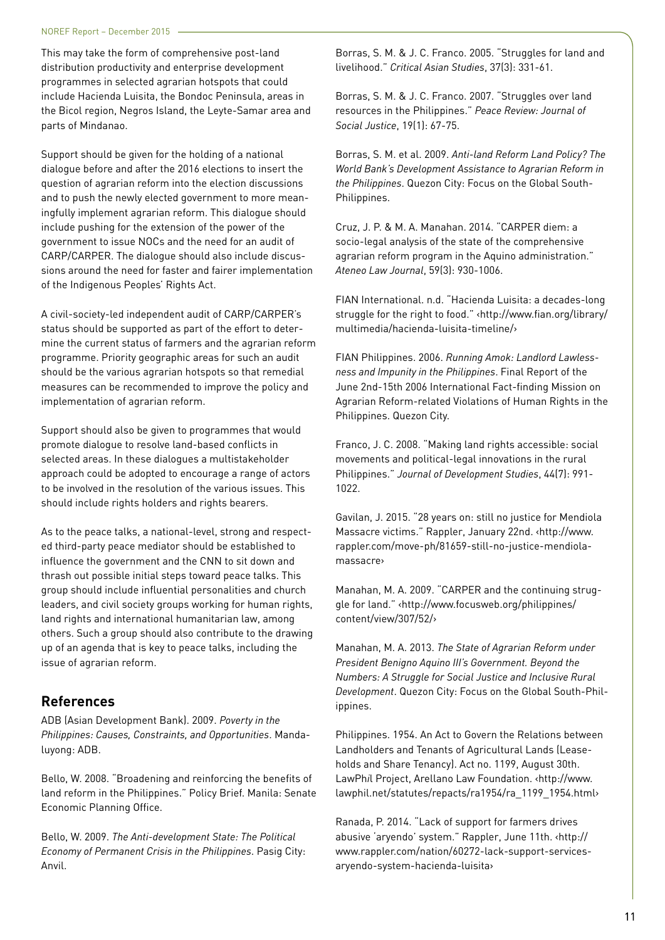This may take the form of comprehensive post-land distribution productivity and enterprise development programmes in selected agrarian hotspots that could include Hacienda Luisita, the Bondoc Peninsula, areas in the Bicol region, Negros Island, the Leyte-Samar area and parts of Mindanao.

Support should be given for the holding of a national dialogue before and after the 2016 elections to insert the question of agrarian reform into the election discussions and to push the newly elected government to more meaningfully implement agrarian reform. This dialogue should include pushing for the extension of the power of the government to issue NOCs and the need for an audit of CARP/CARPER. The dialogue should also include discussions around the need for faster and fairer implementation of the Indigenous Peoples' Rights Act.

A civil-society-led independent audit of CARP/CARPER's status should be supported as part of the effort to determine the current status of farmers and the agrarian reform programme. Priority geographic areas for such an audit should be the various agrarian hotspots so that remedial measures can be recommended to improve the policy and implementation of agrarian reform.

Support should also be given to programmes that would promote dialogue to resolve land-based conflicts in selected areas. In these dialogues a multistakeholder approach could be adopted to encourage a range of actors to be involved in the resolution of the various issues. This should include rights holders and rights bearers.

As to the peace talks, a national-level, strong and respected third-party peace mediator should be established to influence the government and the CNN to sit down and thrash out possible initial steps toward peace talks. This group should include influential personalities and church leaders, and civil society groups working for human rights, land rights and international humanitarian law, among others. Such a group should also contribute to the drawing up of an agenda that is key to peace talks, including the issue of agrarian reform.

## **References**

ADB (Asian Development Bank). 2009. *Poverty in the Philippines: Causes, Constraints, and Opportunities*. Mandaluyong: ADB.

Bello, W. 2008. "Broadening and reinforcing the benefits of land reform in the Philippines." Policy Brief. Manila: Senate Economic Planning Office.

Bello, W. 2009. *The Anti-development State: The Political Economy of Permanent Crisis in the Philippines*. Pasig City: Anvil.

Borras, S. M. & J. C. Franco. 2005. "Struggles for land and livelihood." *Critical Asian Studies*, 37(3): 331-61.

Borras, S. M. & J. C. Franco. 2007. "Struggles over land resources in the Philippines." *Peace Review: Journal of Social Justice*, 19(1): 67-75.

Borras, S. M. et al. 2009. *Anti-land Reform Land Policy? The World Bank's Development Assistance to Agrarian Reform in the Philippines*. Quezon City: Focus on the Global South-Philippines.

Cruz, J. P. & M. A. Manahan. 2014. "CARPER diem: a socio-legal analysis of the state of the comprehensive agrarian reform program in the Aquino administration." *Ateneo Law Journal*, 59(3): 930-1006.

FIAN International. n.d. "Hacienda Luisita: a decades-long struggle for the right to food." ‹http://www.fian.org/library/ multimedia/hacienda-luisita-timeline/›

FIAN Philippines. 2006. *Running Amok: Landlord Lawlessness and Impunity in the Philippines*. Final Report of the June 2nd-15th 2006 International Fact-finding Mission on Agrarian Reform-related Violations of Human Rights in the Philippines. Quezon City.

Franco, J. C. 2008. "Making land rights accessible: social movements and political-legal innovations in the rural Philippines." *Journal of Development Studies*, 44(7): 991- 1022.

Gavilan, J. 2015. "28 years on: still no justice for Mendiola Massacre victims." Rappler, January 22nd. ‹http://www. rappler.com/move-ph/81659-still-no-justice-mendiolamassacre›

Manahan, M. A. 2009. "CARPER and the continuing struggle for land." ‹http://www.focusweb.org/philippines/ content/view/307/52/›

Manahan, M. A. 2013. *The State of Agrarian Reform under President Benigno Aquino III's Government. Beyond the Numbers: A Struggle for Social Justice and Inclusive Rural Development*. Quezon City: Focus on the Global South-Philippines.

Philippines. 1954. An Act to Govern the Relations between Landholders and Tenants of Agricultural Lands (Leaseholds and Share Tenancy). Act no. 1199, August 30th. LawPh*i*l Project, Arellano Law Foundation. ‹http://www. lawphil.net/statutes/repacts/ra1954/ra\_1199\_1954.html›

Ranada, P. 2014. "Lack of support for farmers drives abusive 'aryendo' system." Rappler, June 11th. ‹http:// www.rappler.com/nation/60272-lack-support-servicesaryendo-system-hacienda-luisita›